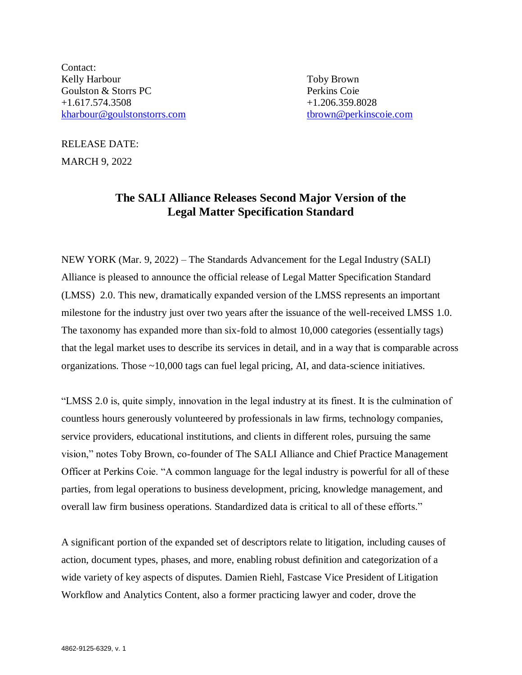Contact: Kelly Harbour Toby Brown Goulston & Storrs PC **Perkins Coie** Perkins Coie +1.617.574.3508 +1.206.359.8028 [kharbour@goulstonstorrs.com](mailto:kharbour@goulstonstorrs.com) thrown@perkinscoie.com

RELEASE DATE: MARCH 9, 2022

## **The SALI Alliance Releases Second Major Version of the Legal Matter Specification Standard**

NEW YORK (Mar. 9, 2022) – The Standards Advancement for the Legal Industry (SALI) Alliance is pleased to announce the official release of Legal Matter Specification Standard (LMSS) 2.0. This new, dramatically expanded version of the LMSS represents an important milestone for the industry just over two years after the issuance of the well-received LMSS 1.0. The taxonomy has expanded more than six-fold to almost 10,000 categories (essentially tags) that the legal market uses to describe its services in detail, and in a way that is comparable across organizations. Those ~10,000 tags can fuel legal pricing, AI, and data-science initiatives.

"LMSS 2.0 is, quite simply, innovation in the legal industry at its finest. It is the culmination of countless hours generously volunteered by professionals in law firms, technology companies, service providers, educational institutions, and clients in different roles, pursuing the same vision," notes Toby Brown, co-founder of The SALI Alliance and Chief Practice Management Officer at Perkins Coie. "A common language for the legal industry is powerful for all of these parties, from legal operations to business development, pricing, knowledge management, and overall law firm business operations. Standardized data is critical to all of these efforts."

A significant portion of the expanded set of descriptors relate to litigation, including causes of action, document types, phases, and more, enabling robust definition and categorization of a wide variety of key aspects of disputes. Damien Riehl, Fastcase Vice President of Litigation Workflow and Analytics Content, also a former practicing lawyer and coder, drove the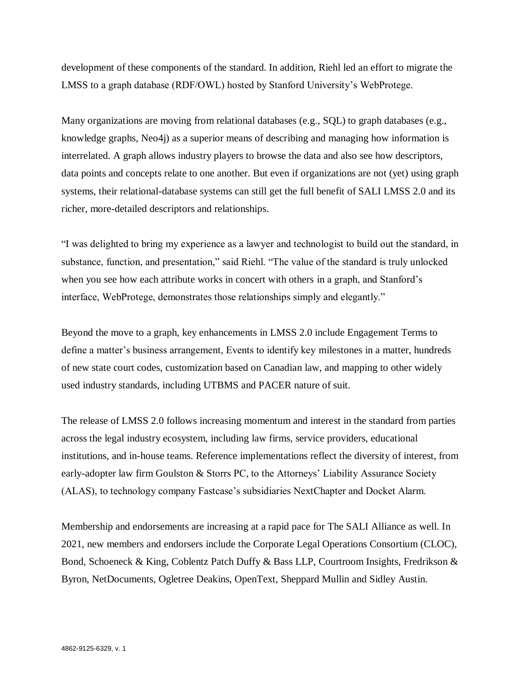development of these components of the standard. In addition, Riehl led an effort to migrate the LMSS to a graph database (RDF/OWL) hosted by Stanford University's WebProtege.

Many organizations are moving from relational databases (e.g., SQL) to graph databases (e.g., knowledge graphs, Neo4j) as a superior means of describing and managing how information is interrelated. A graph allows industry players to browse the data and also see how descriptors, data points and concepts relate to one another. But even if organizations are not (yet) using graph systems, their relational-database systems can still get the full benefit of SALI LMSS 2.0 and its richer, more-detailed descriptors and relationships.

"I was delighted to bring my experience as a lawyer and technologist to build out the standard, in substance, function, and presentation," said Riehl. "The value of the standard is truly unlocked when you see how each attribute works in concert with others in a graph, and Stanford's interface, WebProtege, demonstrates those relationships simply and elegantly."

Beyond the move to a graph, key enhancements in LMSS 2.0 include Engagement Terms to define a matter's business arrangement, Events to identify key milestones in a matter, hundreds of new state court codes, customization based on Canadian law, and mapping to other widely used industry standards, including UTBMS and PACER nature of suit.

The release of LMSS 2.0 follows increasing momentum and interest in the standard from parties across the legal industry ecosystem, including law firms, service providers, educational institutions, and in-house teams. Reference implementations reflect the diversity of interest, from early-adopter law firm Goulston & Storrs PC, to the Attorneys' Liability Assurance Society (ALAS), to technology company Fastcase's subsidiaries NextChapter and Docket Alarm.

Membership and endorsements are increasing at a rapid pace for The SALI Alliance as well. In 2021, new members and endorsers include the Corporate Legal Operations Consortium (CLOC), Bond, Schoeneck & King, Coblentz Patch Duffy & Bass LLP, Courtroom Insights, Fredrikson & Byron, NetDocuments, Ogletree Deakins, OpenText, Sheppard Mullin and Sidley Austin.